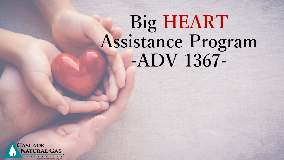# **Big HEART Assistance Program -ADV 1367-**

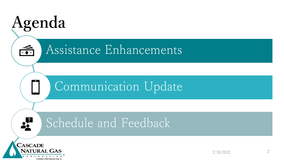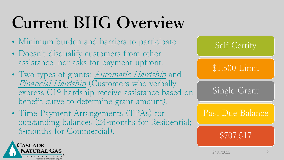# **Current BHG Overview**

- Minimum burden and barriers to participate.
- Doesn't disqualify customers from other assistance, nor asks for payment upfront.
- Two types of grants: *Automatic Hardship* and Financial Hardship (Customers who verbally express C19 hardship receive assistance based on benefit curve to determine grant amount).
- Time Payment Arrangements (TPAs) for outstanding balances (24-months for Residential; 6-months for Commercial).



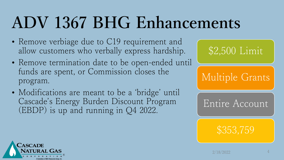# **ADV 1367 BHG Enhancements**

- Remove verbiage due to C19 requirement and allow customers who verbally express hardship.
- Remove termination date to be open-ended until funds are spent, or Commission closes the program.
- Modifications are meant to be a 'bridge' until Cascade's Energy Burden Discount Program (EBDP) is up and running in Q4 2022.



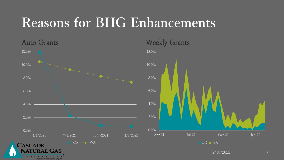#### **Reasons for BHG Enhancements**

 $12.0\%$  — 10.0% Den sterre en de la partie de la partie de la partie de la partie de la partie de la partie de la partie de la<br>Décrette de la partie de la partie de la partie de la partie de la partie de la partie de la partie de la part 8.0% 6.0% 4.0% 2.0% 0.0%  $4/1/2021$   $7/1/2021$   $10/1/2021$   $1/1/2022$  $-$  OR  $\cdots$  WA CASCADE

Auto Grants

CORPORATIO A Subsidiary of MDU Res

Weekly Grants



2/18/2022 5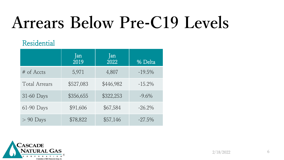## **Arrears Below Pre-C19 Levels**

#### Residential

|                      | Jan<br>2019 | Jan<br>2022 | % Delta   |
|----------------------|-------------|-------------|-----------|
| $#$ of Accts         | 5,971       | 4,807       | $-19.5\%$ |
| <b>Total Arrears</b> | \$527,083   | \$446,982   | $-15.2\%$ |
| 31-60 Days           | \$356,655   | \$322,253   | $-9.6\%$  |
| 61-90 Days           | \$91,606    | \$67,584    | $-26.2\%$ |
| $> 90$ Days          | \$78,822    | \$57,146    | $-27.5\%$ |

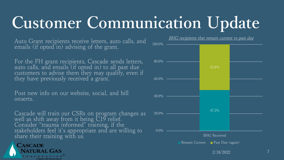## **Customer Communication Update**

Auto Grant recipients receive letters, auto calls, and emails (if opted in) advising of the grant.

For the FH grant recipients, Cascade sends letters, auto calls, and emails (if opted in) to all past due customers to advise them they may qualify, even if they have previously received a grant.

Post new info on our website, social, and bill onserts.

Cascade will train our CSRs on program changes as well as shift away from it being C19 relief. Consider "trauma informed" training, if the stakeholders feel it's appropriate and are willing to share their training with us.





2/18/2022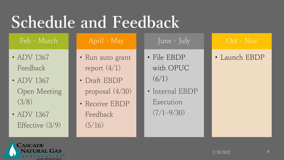### **Schedule and Feedback**

Feb - March

- ADV 1367 Feedback
- ADV 1367 Open Meeting (3/8)
- ADV 1367 Effective (3/9)

#### April - May

- Run auto grant report  $(4/1)$
- Draft EBDP proposal (4/30)
- Receive EBDP Feedback  $(5/16)$

• File EBDP with OPUC  $(6/1)$ 

June - July

• Internal EBDP Execution  $(7/1 - 9/30)$ 

#### Oct - Nov

#### • Launch EBDP